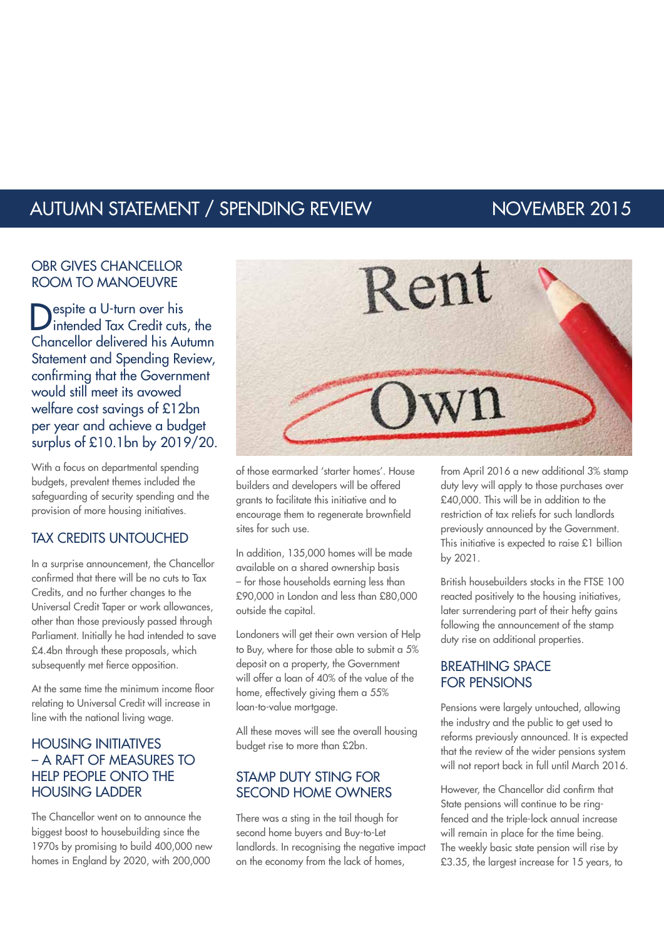# AUTUMN STATEMENT / SPENDING REVIEW NOVEMBER 2015

#### OBR GIVES CHANCELLOR ROOM TO MANOEUVRE

espite a U-turn over his Intended Tax Credit cuts, the Chancellor delivered his Autumn Statement and Spending Review, confirming that the Government would still meet its avowed welfare cost savings of £12bn per year and achieve a budget surplus of £10.1bn by 2019/20.

With a focus on departmental spending budgets, prevalent themes included the safeguarding of security spending and the provision of more housing initiatives.

### TAX CREDITS UNTOUCHED

In a surprise announcement, the Chancellor confirmed that there will be no cuts to Tax Credits, and no further changes to the Universal Credit Taper or work allowances, other than those previously passed through Parliament. Initially he had intended to save £4.4bn through these proposals, which subsequently met fierce opposition.

At the same time the minimum income floor relating to Universal Credit will increase in line with the national living wage.

### HOUSING INITIATIVES – A RAFT OF MEASURES TO HELP PEOPLE ONTO THE HOUSING LADDER

The Chancellor went on to announce the biggest boost to housebuilding since the 1970s by promising to build 400,000 new homes in England by 2020, with 200,000



of those earmarked 'starter homes'. House builders and developers will be offered grants to facilitate this initiative and to encourage them to regenerate brownfield sites for such use.

In addition, 135,000 homes will be made available on a shared ownership basis – for those households earning less than £90,000 in London and less than £80,000 outside the capital.

Londoners will get their own version of Help to Buy, where for those able to submit a 5% deposit on a property, the Government will offer a loan of 40% of the value of the home, effectively giving them a 55% loan-to-value mortgage.

All these moves will see the overall housing budget rise to more than £2bn.

#### STAMP DUTY STING FOR SECOND HOME OWNERS

There was a sting in the tail though for second home buyers and Buy-to-Let landlords. In recognising the negative impact on the economy from the lack of homes,

from April 2016 a new additional 3% stamp duty levy will apply to those purchases over £40,000. This will be in addition to the restriction of tax reliefs for such landlords previously announced by the Government. This initiative is expected to raise £1 billion by 2021.

British housebuilders stocks in the FTSE 100 reacted positively to the housing initiatives, later surrendering part of their hefty gains following the announcement of the stamp duty rise on additional properties.

#### BREATHING SPACE FOR PENSIONS

Pensions were largely untouched, allowing the industry and the public to get used to reforms previously announced. It is expected that the review of the wider pensions system will not report back in full until March 2016.

However, the Chancellor did confirm that State pensions will continue to be ringfenced and the triple-lock annual increase will remain in place for the time being. The weekly basic state pension will rise by £3.35, the largest increase for 15 years, to